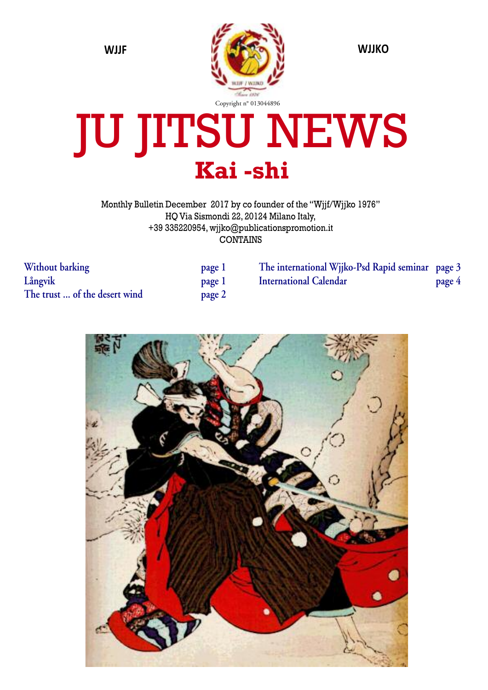

# JU JITSU NEWS **Kai -shi**

Monthly Bulletin December 2017 by co founder of the "Wjjf/Wjjko 1976" HQ Via Sismondi 22, 20124 Milano Italy, +39 335220954, wjjko@publicationspromotion.it CONTAINS

**Without barking Långvik The trust ... of the desert wind page 2**

| page 1 |
|--------|
| page 1 |
| page 2 |

**The international Wjjko-Psd Rapid seminar page 3 International Calendar page 4**

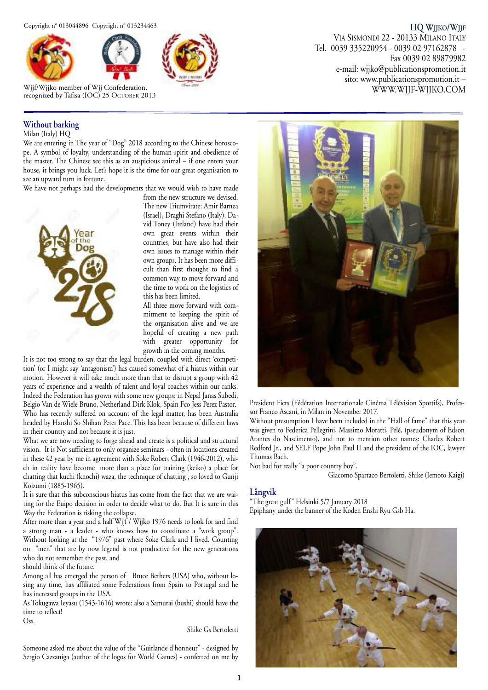



Wjjf/Wjjko member of Wjj Confederation, recognized by Tafisa (IOC) 25 OCTOBER 2013

### **Without barking**

Milan (Italy) HQ

We are entering in The year of "Dog" 2018 according to the Chinese horoscope. A symbol of loyalty, understanding of the human spirit and obedience of the master. The Chinese see this as an auspicious animal – if one enters your house, it brings you luck. Let's hope it is the time for our great organisation to see an upward turn in fortune.

We have not perhaps had the developments that we would wish to have made



from the new structure we devised. The new Triumvirate: Amir Barnea (Israel), Draghi Stefano (Italy), David Toney (Ireland) have had their own great events within their countries, but have also had their own issues to manage within their own groups. It has been more difficult than first thought to find a common way to move forward and the time to work on the logistics of this has been limited.

All three move forward with commitment to keeping the spirit of the organisation alive and we are hopeful of creating a new path with greater opportunity for growth in the coming months.

It is not too strong to say that the legal burden, coupled with direct 'competition' (or I might say 'antagonism') has caused somewhat of a hiatus within our motion. However it will take much more than that to disrupt a group with 42 years of experience and a wealth of talent and loyal coaches within our ranks. Indeed the Federation has grown with some new groups: in Nepal Janas Subedi, Belgio Van de Wiele Bruno, Netherland Dirk Klok, Spain Fco Jess Perez Pastor. Who has recently suffered on account of the legal matter, has been Australia headed by Hanshi So Shihan Peter Pace. This has been because of different laws in their country and not because it is just.

What we are now needing to forge ahead and create is a political and structural vision. It is Not sufficient to only organize seminars - often in locations created in these 42 year by me in agreement with Soke Robert Clark (1946-2012), which in reality have become more than a place for training (keiko) a place for chatting that kuchi (knochi) waza, the technique of chatting , so loved to Gunji Koizumi (1885-1965).

It is sure that this subconscious hiatus has come from the fact that we are waiting for the Euipo decision in order to decide what to do. But It is sure in this Way the Federation is risking the collapse.

After more than a year and a half Wjjf / Wjjko 1976 needs to look for and find a strong man - a leader - who knows how to coordinate a "work group". Without looking at the "1976" past where Soke Clark and I lived. Counting on "men" that are by now legend is not productive for the new generations who do not remember the past, and

should think of the future.

Among all has emerged the person of Bruce Bethers (USA) who, without losing any time, has affiliated some Federations from Spain to Portugal and he has increased groups in the USA.

As Tokugawa Ieyasu (1543-1616) wrote: also a Samurai (bushi) should have the time to reflect!

Oss.

#### Shike Gs Bertoletti

Someone asked me about the value of the "Guirlande d'honneur" - designed by Sergio Cazzaniga (author of the logos for World Games) - conferred on me by

# sito: www.publicationspromotion.it – WWW.WJJF-WJJKO.COM

**HQ WJJKO/WJJF**

Fax 0039 02 89879982

VIA SISMONDI 22 - 20133 MILANO ITALY Tel. 0039 335220954 - 0039 02 97162878 -

e-mail: wjjko@publicationspromotion.it



President Ficts (Fédération Internationale Cinéma Télévision Sportifs), Professor Franco Ascani, in Milan in November 2017.

Without presumption I have been included in the "Hall of fame" that this year was given to Federica Pellegrini, Massimo Moratti, Pelé, (pseudonym of Edson Arantes do Nascimento), and not to mention other names: Charles Robert Redford Jr., and SELF Pope John Paul II and the president of the IOC, lawyer Thomas Bach.

Not bad for really "a poor country boy".

Giacomo Spartaco Bertoletti, Shike (Iemoto Kaigi)

#### **Långvik**

"The great gulf" Helsinki 5/7 January 2018 Epiphany under the banner of the Koden Enshi Ryu Gsb Ha.

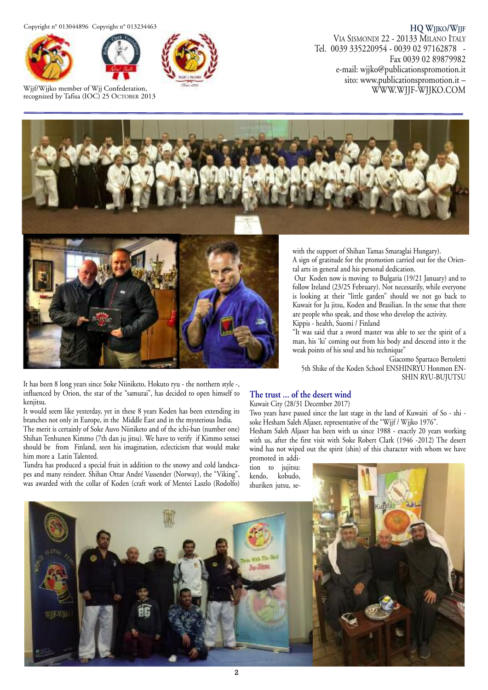Copyright n° 013044896 Copyright n° 013234463





Wjjf/Wjjko member of Wjj Confederation, recognized by Tafisa (IOC) 25 OCTOBER 2013



**HQ WJJKO/WJJF** VIA SISMONDI 22 - 20133 MILANO ITALY Tel. 0039 335220954 - 0039 02 97162878 - Fax 0039 02 89879982 e-mail: wjjko@publicationspromotion.it sito: www.publicationspromotion.it – WWW.WJJF-WJJKO.COM





It has been 8 long years since Soke Niiniketo, Hokuto ryu - the northern style -, influenced by Orion, the star of the "samurai", has decided to open himself to kenjitsu.

It would seem like yesterday, yet in these 8 years Koden has been extending its branches not only in Europe, in the Middle East and in the mysterious India.

The merit is certainly of Soke Auvo Niiniketo and of the ichi-ban (number one) Shihan Tenhunen Kimmo (7th dan ju jitsu). We have to verify if Kimmo sensei should be from Finland, seen his imagination, eclecticism that would make him more a Latin Talented.

Tundra has produced a special fruit in addition to the snowy and cold landscapes and many reindeer. Shihan Ottar André Vassender (Norway), the "Viking", was awarded with the collar of Koden (craft work of Mentei Laszlo (Rodolfo) with the support of Shihan Tamas Smaraglai Hungary).

A sign of gratitude for the promotion carried out for the Oriental arts in general and his personal dedication.

Our Koden now is moving to Bulgaria (19/21 January) and to follow Ireland (23/25 February). Not necessarily, while everyone is looking at their "little garden" should we not go back to Kuwait for Ju jitsu, Koden and Brasilian. In the sense that there are people who speak, and those who develop the activity. Kippis - health, Suomi / Finland

"It was said that a sword master was able to see the spirit of a man, his 'ki' coming out from his body and descend into it the weak points of his soul and his technique"

Giacomo Spartaco Bertoletti 5th Shike of the Koden School ENSHINRYU Honmon EN-SHIN RYU-BUJUTSU

#### **The trust ... of the desert wind**

Kuwait City (28/31 December 2017)

Two years have passed since the last stage in the land of Kuwaiti of So - shi soke Hesham Saleh Aljaser, representative of the "Wjjf / Wjjko 1976".

Hesham Saleh Aljaser has been with us since 1988 - exactly 20 years working with us, after the first visit with Soke Robert Clark (1946 -2012) The desert wind has not wiped out the spirit (shin) of this character with whom we have promoted in addi-

tion to jujitsu: kendo, kobudo, shuriken jutsu, se-

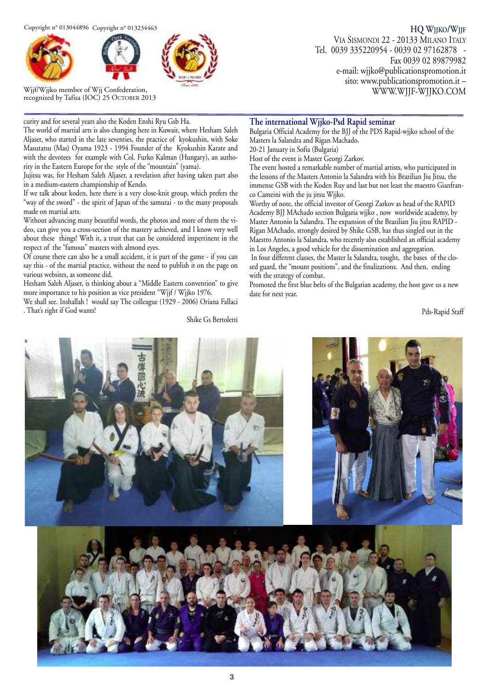Copyright n° 013044896 Copyright n° 013234463





Wjjf/Wjjko member of Wjj Confederation, recognized by Tafisa (IOC) 25 OCTOBER 2013

**HQ WJJKO/WJJF** VIA SISMONDI 22 - 20133 MILANO ITALY Tel. 0039 335220954 - 0039 02 97162878 - Fax 0039 02 89879982 e-mail: wjjko@publicationspromotion.it sito: www.publicationspromotion.it – WWW.WJJF-WJJKO.COM

curity and for several years also the Koden Enshi Ryu Gsb Ha.

The world of martial arts is also changing here in Kuwait, where Hesham Saleh Aljaser, who started in the late seventies, the practice of kyokushin, with Soke Masutatsu (Mas) Oyama 1923 - 1994 Founder of the Kyokushin Karate and with the devotees for example with Col. Furko Kalman (Hungary), an authority in the Eastern Europe for the style of the "mountain" (yama).

Jujitsu was, for Hesham Saleh Aljaser, a revelation after having taken part also in a medium-eastern championship of Kendo.

If we talk about koden, here there is a very close-knit group, which prefers the "way of the sword" - the spirit of Japan of the samurai - to the many proposals made on martial arts.

Without advancing many beautiful words, the photos and more of them the video, can give you a cross-section of the mastery achieved, and I know very well about these things! With it, a trust that can be considered impertinent in the respect of the "famous" masters with almond eyes.

Of course there can also be a small accident, it is part of the game - if you can say this - of the martial practice, without the need to publish it on the page on various websites, as someone did.

Hesham Saleh Aljaser, is thinking about a "Middle Eastern convention" to give more importance to his position as vice president "Wjjf / Wjjko 1976.

We shall see. Inshallah ! would say The colleague (1929 - 2006) Oriana Fallaci . That's right if God wants!

Shike Gs Bertoletti

#### **The international Wjjko-Psd Rapid seminar**

Bulgaria Official Academy for the BJJ of the PDS Rapid-wjjko school of the Masters la Salandra and Rigan Machado.

20-21 January in Sofia (Bulgaria)

Host of the event is Master Georgi Zarkov.

The event hosted a remarkable number of martial artists, who participated in the lessons of the Masters Antonio la Salandra with his Brazilian Jiu Jitsu, the immense GSB with the Koden Ruy and last but not least the maestro Gianfranco Cameini with the ju jitsu Wjjko.

Worthy of note, the official investor of Georgi Zarkov as head of the RAPID Academy BJJ MAchado section Bulgaria wjjko , now worldwide academy, by Master Antonio la Salandra. The expansion of the Brazilian Jiu jitsu RAPID - Rigan MAchado, strongly desired by Shike GSB, has thus singled out in the Maestro Antonio la Salandra, who recently also established an official academy in Los Angeles, a good vehicle for the dissemination and aggregation. In four different classes, the Master la Salandra, tought, the bases of the closed guard, the "mount positions", and the finalizations. And then, ending

with the strategy of combat. Promoted the first blue belts of the Bulgarian academy, the host gave us a new date for next year.

Pds-Rapid Staff